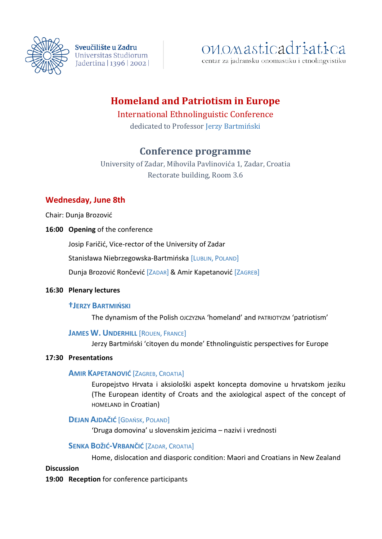

Sveučilište u Zadru Universitas Studiorum Jadertina | 1396 | 2002 |

# onomasticadriatica

centar za jadransku onomastiku i etnolingvistiku

# **Homeland and Patriotism in Europe**

# International Ethnolinguistic Conference

dedicated to Professor Jerzy Bartmiński

# **Conference programme**

University of Zadar, Mihovila Pavlinovića 1, Zadar, Croatia Rectorate building, Room 3.6

# **Wednesday, June 8th**

Chair: Dunja Brozović

**16:00 Opening** of the conference

Josip Faričić, Vice-rector of the University of Zadar

Stanisława Niebrzegowska-Bartmińska [LUBLIN, POLAND]

Dunja Brozović Rončević [ZADAR] & Amir Kapetanović [ZAGREB]

## **16:30 Plenary lectures**

## **†JERZY BARTMIŃSKI**

The dynamism of the Polish OJCZYZNA 'homeland' and PATRIOTYZM 'patriotism'

## **JAMES W. UNDERHILL** [ROUEN, FRANCE]

Jerzy Bartmiński 'citoyen du monde' Ethnolinguistic perspectives for Europe

## **17:30 Presentations**

## **AMIR KAPETANOVIĆ** [ZAGREB, CROATIA]

Europejstvo Hrvata i aksiološki aspekt koncepta domovine u hrvatskom jeziku (The European identity of Croats and the axiological aspect of the concept of HOMELAND in Croatian)

# **DEJAN AJDAČIĆ** [GDAŃSK, POLAND]

'Druga domovina' u slovenskim jezicima – nazivi i vrednosti

# **SENKA BOŽIĆ-VRBANČIĆ** [ZADAR, CROATIA]

Home, dislocation and diasporic condition: Maori and Croatians in New Zealand

#### **Discussion**

**19:00 Reception** for conference participants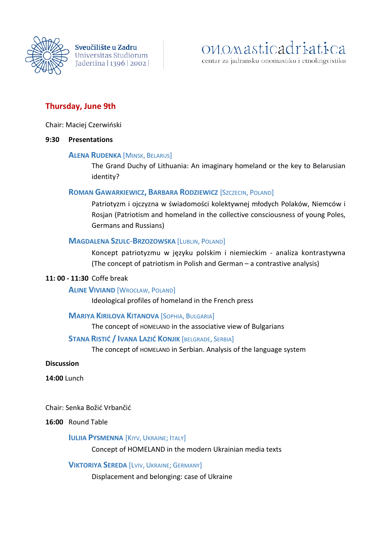

Sveučilište u Zadru Universitas Studiorum Jadertina | 1396 | 2002 |

# onomasticadriatica

centar za jadransku onomastiku i etnolingvistiku

# **Thursday, June 9th**

Chair: Maciej Czerwiński

#### **9:30 Presentations**

#### **ALENA RUDENKA** [MINSK, BELARUS]

The Grand Duchy of Lithuania: An imaginary homeland or the key to Belarusian identity?

#### **ROMAN GAWARKIEWICZ, BARBARA RODZIEWICZ** [SZCZECIN, POLAND]

Patriotyzm i ojczyzna w świadomości kolektywnej młodych Polaków, Niemców i Rosjan (Patriotism and homeland in the collective consciousness of young Poles, Germans and Russians)

#### **MAGDALENA SZULC**-**BRZOZOWSKA** [LUBLIN, POLAND]

Koncept patriotyzmu w języku polskim i niemieckim - analiza kontrastywna (The concept of patriotism in Polish and German – a contrastive analysis)

#### **11: 00 - 11:30** Coffe break

#### **ALINE VIVIAND** [WROCŁAW, POLAND]

Ideological profiles of homeland in the French press

#### **MARIYA KIRILOVA KITANOVA** [SOPHIA, BULGARIA]

The concept of HOMELAND in the associative view of Bulgarians

#### **STANA RISTIĆ / IVANA LAZIĆ KONJIK** [BELGRADE, SERBIA]

The concept of HOMELAND in Serbian. Analysis of the language system

#### **Discussion**

**14:00** Lunch

Chair: Senka Božić Vrbančić

#### **16:00** Round Table

#### **IULIIA PYSMENNA** [KIYV, UKRAINE; ITALY]

Concept of HOMELAND in the modern Ukrainian media texts

#### **VIKTORIYA SEREDA** [LVIV, UKRAINE; GERMANY]

Displacement and belonging: case of Ukraine